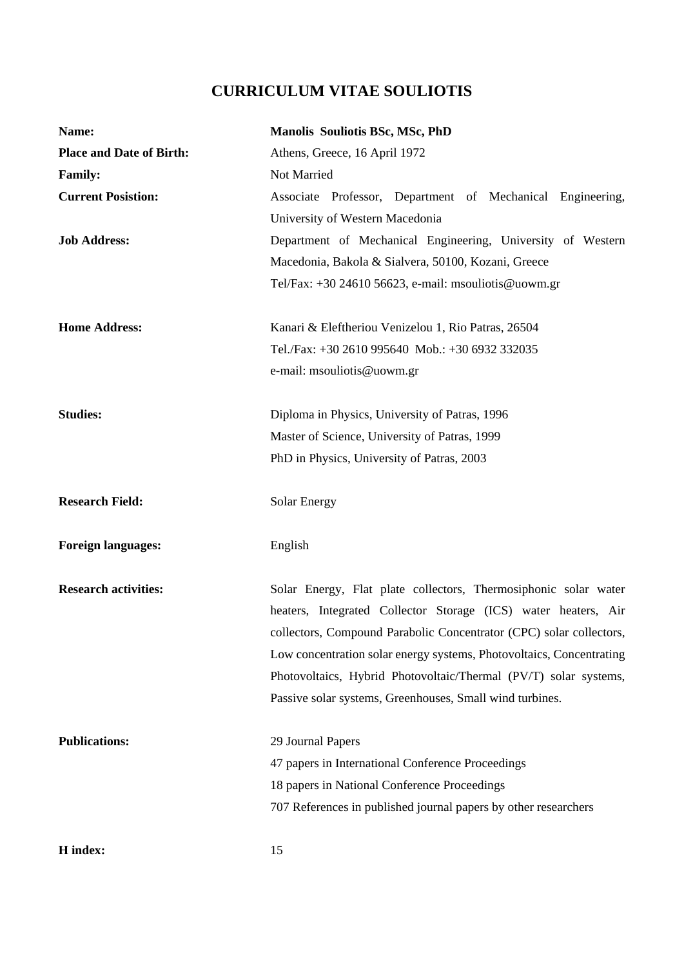# **CURRICULUM VITAE SOULIOTIS**

| Name:                           | <b>Manolis Souliotis BSc, MSc, PhD</b>                               |
|---------------------------------|----------------------------------------------------------------------|
| <b>Place and Date of Birth:</b> | Athens, Greece, 16 April 1972                                        |
| <b>Family:</b>                  | Not Married                                                          |
| <b>Current Posistion:</b>       | Associate Professor, Department of Mechanical Engineering,           |
|                                 | University of Western Macedonia                                      |
| <b>Job Address:</b>             | Department of Mechanical Engineering, University of Western          |
|                                 | Macedonia, Bakola & Sialvera, 50100, Kozani, Greece                  |
|                                 | Tel/Fax: +30 24610 56623, e-mail: msouliotis@uowm.gr                 |
| <b>Home Address:</b>            | Kanari & Eleftheriou Venizelou 1, Rio Patras, 26504                  |
|                                 | Tel./Fax: +30 2610 995640 Mob.: +30 6932 332035                      |
|                                 | e-mail: msouliotis@uowm.gr                                           |
| <b>Studies:</b>                 | Diploma in Physics, University of Patras, 1996                       |
|                                 | Master of Science, University of Patras, 1999                        |
|                                 | PhD in Physics, University of Patras, 2003                           |
| <b>Research Field:</b>          | Solar Energy                                                         |
| <b>Foreign languages:</b>       | English                                                              |
| <b>Research activities:</b>     | Solar Energy, Flat plate collectors, Thermosiphonic solar water      |
|                                 | heaters, Integrated Collector Storage (ICS) water heaters, Air       |
|                                 | collectors, Compound Parabolic Concentrator (CPC) solar collectors,  |
|                                 | Low concentration solar energy systems, Photovoltaics, Concentrating |
|                                 | Photovoltaics, Hybrid Photovoltaic/Thermal (PV/T) solar systems,     |
|                                 | Passive solar systems, Greenhouses, Small wind turbines.             |
| <b>Publications:</b>            | 29 Journal Papers                                                    |
|                                 | 47 papers in International Conference Proceedings                    |
|                                 | 18 papers in National Conference Proceedings                         |
|                                 | 707 References in published journal papers by other researchers      |
| H index:                        | 15                                                                   |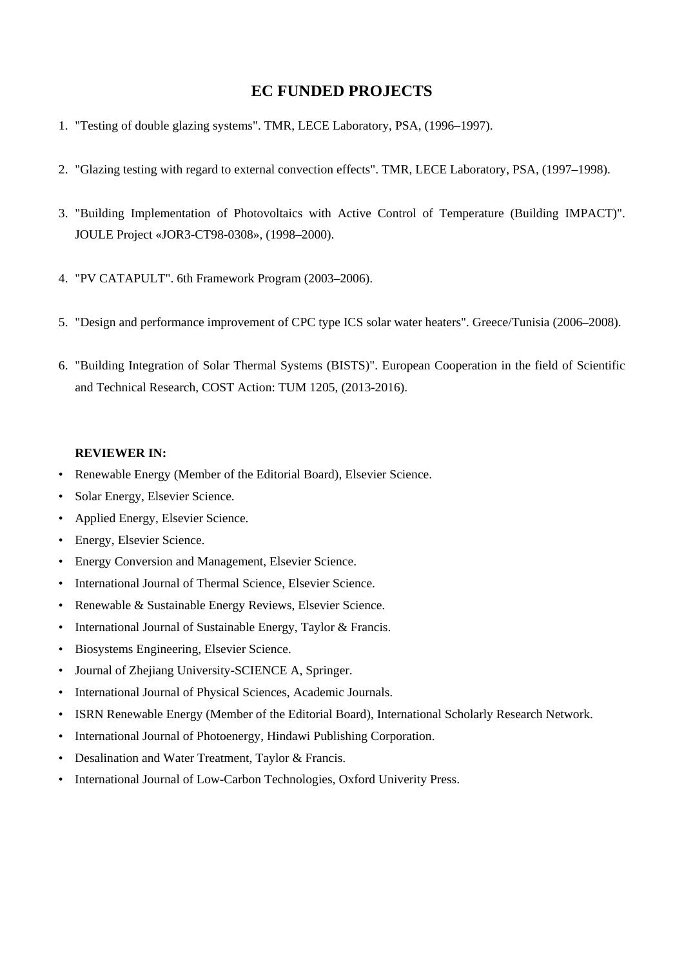# **EC FUNDED PROJECTS**

- 1. "Testing of double glazing systems". TMR, LECE Laboratory, PSA, (1996–1997).
- 2. "Glazing testing with regard to external convection effects". TMR, LECE Laboratory, PSA, (1997–1998).
- 3. "Building Implementation of Photovoltaics with Active Control of Temperature (Building IMPACT)". JOULE Project «JOR3-CT98-0308», (1998–2000).
- 4. "PV CATAPULT". 6th Framework Program (2003–2006).
- 5. "Design and performance improvement of CPC type ICS solar water heaters". Greece/Tunisia (2006–2008).
- 6. "Building Integration of Solar Thermal Systems (BISTS)". European Cooperation in the field of Scientific and Technical Research, COST Action: TUM 1205, (2013-2016).

## **REVIEWER IN:**

- Renewable Energy (Member of the Editorial Board), Elsevier Science.
- Solar Energy, Elsevier Science.
- Applied Energy, Elsevier Science.
- Energy, Elsevier Science.
- Energy Conversion and Management, Elsevier Science.
- International Journal of Thermal Science, Elsevier Science.
- Renewable & Sustainable Energy Reviews, Elsevier Science.
- International Journal of Sustainable Energy, Taylor & Francis.
- Biosystems Engineering, Elsevier Science.
- Journal of Zhejiang University-SCIENCE A, Springer.
- International Journal of Physical Sciences, Academic Journals.
- ISRN Renewable Energy (Member of the Editorial Board), International Scholarly Research Network.
- International Journal of Photoenergy, Hindawi Publishing Corporation.
- Desalination and Water Treatment, Taylor & Francis.
- International Journal of Low-Carbon Technologies, Oxford Univerity Press.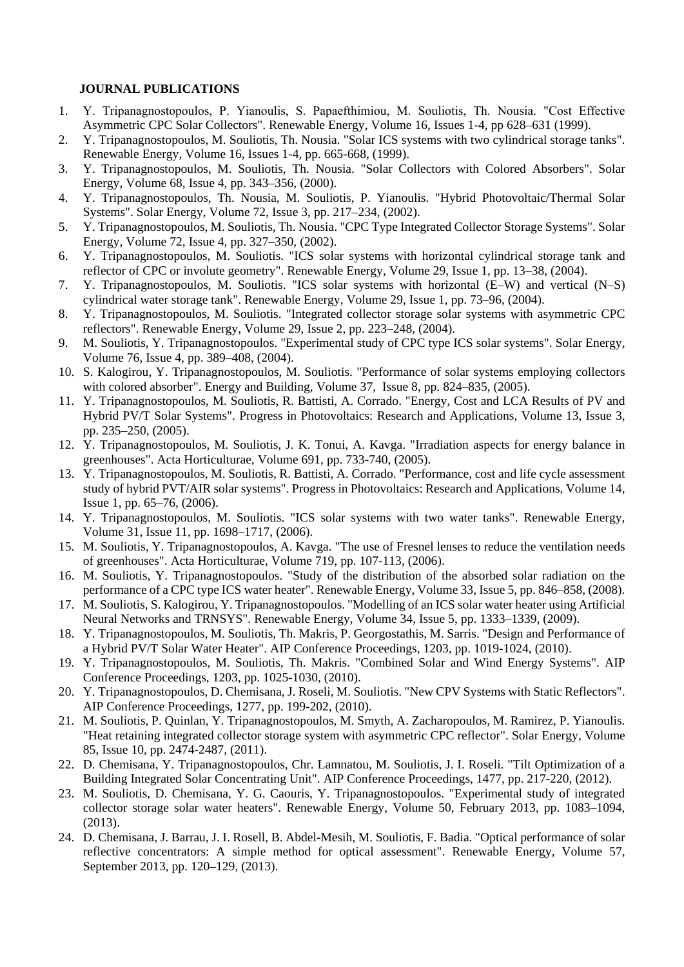#### **JOURNAL PUBLICATIONS**

- 1. Υ. Tripanagnostopoulos, P. Yianoulis, S. Papaefthimiou, M. Souliotis, Th. Nousia. "Cost Effective Asymmetric CPC Solar Collectors". Renewable Energy, Volume 16, Issues 1-4, pp 628–631 (1999).
- 2. Y. Tripanagnostopoulos, M. Souliotis, Th. Nousia. "Solar ICS systems with two cylindrical storage tanks". Renewable Energy, Volume 16, Issues 1-4, pp. 665-668, (1999).
- 3. Y. Tripanagnostopoulos, M. Souliotis, Th. Nousia. "Solar Collectors with Colored Absorbers". Solar Energy, Volume 68, Issue 4, pp. 343–356, (2000).
- 4. Y. Tripanagnostopoulos, Th. Nousia, M. Souliotis, P. Yianoulis. "Hybrid Photovoltaic/Thermal Solar Systems". Solar Energy, Volume 72, Issue 3, pp. 217–234, (2002).
- 5. Y. Tripanagnostopoulos, M. Souliotis, Th. Nousia. "CPC Type Integrated Collector Storage Systems". Solar Energy, Volume 72, Issue 4, pp. 327–350, (2002).
- 6. Y. Tripanagnostopoulos, M. Souliotis. "ICS solar systems with horizontal cylindrical storage tank and reflector of CPC or involute geometry". Renewable Energy, Volume 29, Issue 1, pp. 13–38, (2004).
- 7. Y. Tripanagnostopoulos, M. Souliotis. "ICS solar systems with horizontal (E–W) and vertical (N–S) cylindrical water storage tank". Renewable Energy, Volume 29, Issue 1, pp. 73–96, (2004).
- 8. Y. Tripanagnostopoulos, M. Souliotis. "Integrated collector storage solar systems with asymmetric CPC reflectors". Renewable Energy, Volume 29, Issue 2, pp. 223–248, (2004).
- 9. M. Souliotis, Y. Tripanagnostopoulos. "Experimental study of CPC type ICS solar systems". Solar Energy, Volume 76, Issue 4, pp. 389–408, (2004).
- 10. S. Kalogirou, Y. Tripanagnostopoulos, M. Souliotis. "Performance of solar systems employing collectors with colored absorber". Energy and Building, Volume 37, Issue 8, pp. 824–835, (2005).
- 11. Y. Tripanagnostopoulos, M. Souliotis, R. Battisti, A. Corrado. "Energy, Cost and LCA Results of PV and Hybrid PV/T Solar Systems". Progress in Photovoltaics: Research and Applications, Volume 13, Issue 3, pp. 235–250, (2005).
- 12. Y. Tripanagnostopoulos, M. Souliotis, J. K. Tonui, A. Kavga. "Irradiation aspects for energy balance in greenhouses". Acta Horticulturae, Volume 691, pp. 733-740, (2005).
- 13. Y. Tripanagnostopoulos, M. Souliotis, R. Battisti, A. Corrado. "Performance, cost and life cycle assessment study of hybrid PVT/AIR solar systems". Progress in Photovoltaics: Research and Applications, Volume 14, Issue 1, pp. 65–76, (2006).
- 14. Y. Tripanagnostopoulos, M. Souliotis. "ICS solar systems with two water tanks". Renewable Energy, Volume 31, Issue 11, pp. 1698–1717, (2006).
- 15. M. Souliotis, Y. Tripanagnostopoulos, A. Kavga. "The use of Fresnel lenses to reduce the ventilation needs of greenhouses". Acta Horticulturae, Volume 719, pp. 107-113, (2006).
- 16. M. Souliotis, Y. Tripanagnostopoulos. "Study of the distribution of the absorbed solar radiation on the performance of a CPC type ICS water heater". Renewable Energy, Volume 33, Issue 5, pp. 846–858, (2008).
- 17. M. Souliotis, S. Kalogirou, Y. Tripanagnostopoulos. "Modelling of an ICS solar water heater using Artificial Neural Networks and TRNSYS". Renewable Energy, Volume 34, Issue 5, pp. 1333–1339, (2009).
- 18. Y. Tripanagnostopoulos, M. Souliotis, Th. Makris, P. Georgostathis, M. Sarris. "Design and Performance of a Hybrid PV/T Solar Water Heater". AIP Conference Proceedings, 1203, pp. 1019-1024, (2010).
- 19. Y. Tripanagnostopoulos, M. Souliotis, Th. Makris. "Combined Solar and Wind Energy Systems". AIP Conference Proceedings, 1203, pp. 1025-1030, (2010).
- 20. Y. Tripanagnostopoulos, D. Chemisana, J. Roseli, M. Souliotis. "New CPV Systems with Static Reflectors". AIP Conference Proceedings, 1277, pp. 199-202, (2010).
- 21. M. Souliotis, P. Quinlan, Y. Tripanagnostopoulos, M. Smyth, A. Zacharopoulos, M. Ramirez, P. Yianoulis. "Heat retaining integrated collector storage system with asymmetric CPC reflector". Solar Energy, Volume 85, Issue 10, pp. 2474-2487, (2011).
- 22. D. Chemisana, Y. Tripanagnostopoulos, Chr. Lamnatou, M. Souliotis, J. I. Roseli. "Tilt Optimization of a Building Integrated Solar Concentrating Unit". AIP Conference Proceedings, 1477, pp. 217-220, (2012).
- 23. M. Souliotis, D. Chemisana, Y. G. Caouris, Y. Tripanagnostopoulos. "Experimental study of integrated collector storage solar water heaters". Renewable Energy, Volume 50, February 2013, pp. 1083–1094, (2013).
- 24. D. Chemisana, J. Barrau, J. I. Rosell, B. Abdel-Mesih, M. Souliotis, F. Badia. "Optical performance of solar reflective concentrators: A simple method for optical assessment". Renewable Energy, Volume 57, September 2013, pp. 120–129, (2013).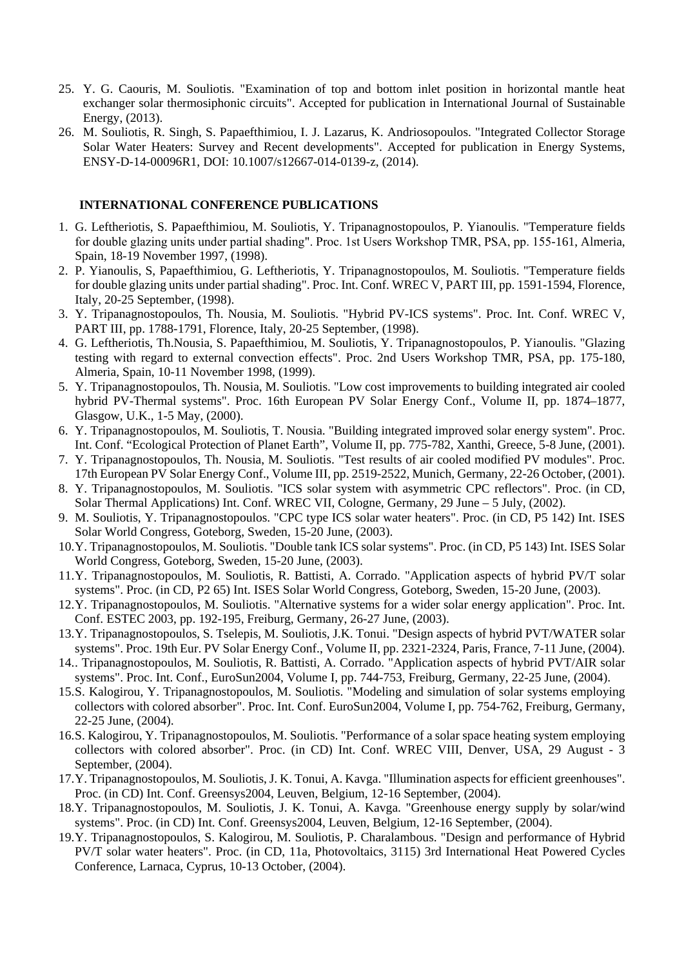- 25. Y. G. Caouris, M. Souliotis. "Examination of top and bottom inlet position in horizontal mantle heat exchanger solar thermosiphonic circuits". Accepted for publication in International Journal of Sustainable Energy, (2013).
- 26. M. Souliotis, R. Singh, S. Papaefthimiou, I. J. Lazarus, K. Andriosopoulos. "Integrated Collector Storage Solar Water Heaters: Survey and Recent developments". Accepted for publication in Energy Systems, ENSY-D-14-00096R1, DOI: 10.1007/s12667-014-0139-z, (2014).

### **INTERNATIONAL CONFERENCE PUBLICATIONS**

- 1. G. Leftheriotis, S. Papaefthimiou, M. Souliotis, Y. Tripanagnostopoulos, P. Yianoulis. "Temperature fields for double glazing units under partial shading". Proc. 1st Users Workshop ΤΜR, PSA, pp. 155-161, Almeria, Spain, 18-19 November 1997, (1998).
- 2. P. Yianoulis, S, Papaefthimiou, G. Leftheriotis, Y. Tripanagnostopoulos, M. Souliotis. "Temperature fields for double glazing units under partial shading". Proc. Int. Conf. WREC V, PART III, pp. 1591-1594, Florence, Italy, 20-25 September, (1998).
- 3. Y. Tripanagnostopoulos, Th. Nousia, M. Souliotis. "Hybrid PV-ICS systems". Proc. Int. Conf. WREC V, PART III, pp. 1788-1791, Florence, Italy, 20-25 September, (1998).
- 4. G. Leftheriotis, Th.Nousia, S. Papaefthimiou, M. Souliotis, Y. Tripanagnostopoulos, P. Yianoulis. "Glazing testing with regard to external convection effects". Proc. 2nd Users Workshop TMR, PSA, pp. 175-180, Almeria, Spain, 10-11 November 1998, (1999).
- 5. Y. Tripanagnostopoulos, Th. Nousia, M. Souliotis. "Low cost improvements to building integrated air cooled hybrid PV-Thermal systems". Proc. 16th European PV Solar Energy Conf., Volume II, pp. 1874–1877, Glasgow, U.K., 1-5 May, (2000).
- 6. Y. Tripanagnostopoulos, M. Souliotis, T. Nousia. "Building integrated improved solar energy system". Proc. Int. Conf. "Ecological Protection of Planet Earth", Volume II, pp. 775-782, Xanthi, Greece, 5-8 June, (2001).
- 7. Y. Tripanagnostopoulos, Th. Nousia, M. Souliotis. "Test results of air cooled modified PV modules". Proc. 17th European PV Solar Energy Conf., Volume III, pp. 2519-2522, Munich, Germany, 22-26 October, (2001).
- 8. Y. Tripanagnostopoulos, M. Souliotis. "ICS solar system with asymmetric CPC reflectors". Proc. (in CD, Solar Thermal Applications) Int. Conf. WREC VII, Cologne, Germany, 29 June – 5 July, (2002).
- 9. M. Souliotis, Y. Tripanagnostopoulos. "CPC type ICS solar water heaters". Proc. (in CD, P5 142) Int. ISES Solar World Congress, Goteborg, Sweden, 15-20 June, (2003).
- 10.Y. Tripanagnostopoulos, M. Souliotis. "Double tank ICS solar systems". Proc. (in CD, P5 143) Int. ISES Solar World Congress, Goteborg, Sweden, 15-20 June, (2003).
- 11.Y. Tripanagnostopoulos, M. Souliotis, R. Battisti, A. Corrado. "Application aspects of hybrid PV/T solar systems". Proc. (in CD, P2 65) Int. ISES Solar World Congress, Goteborg, Sweden, 15-20 June, (2003).
- 12.Y. Tripanagnostopoulos, M. Souliotis. "Alternative systems for a wider solar energy application". Proc. Int. Conf. ESTEC 2003, pp. 192-195, Freiburg, Germany, 26-27 June, (2003).
- 13.Y. Tripanagnostopoulos, S. Tselepis, M. Souliotis, J.K. Tonui. "Design aspects of hybrid PVT/WATER solar systems". Proc. 19th Eur. PV Solar Energy Conf., Volume II, pp. 2321-2324, Paris, France, 7-11 June, (2004).
- 14.. Tripanagnostopoulos, M. Souliotis, R. Battisti, A. Corrado. "Application aspects of hybrid PVT/AIR solar systems". Proc. Int. Conf., EuroSun2004, Volume I, pp. 744-753, Freiburg, Germany, 22-25 June, (2004).
- 15.S. Kalogirou, Y. Tripanagnostopoulos, M. Souliotis. "Modeling and simulation of solar systems employing collectors with colored absorber". Proc. Int. Conf. EuroSun2004, Volume I, pp. 754-762, Freiburg, Germany, 22-25 June, (2004).
- 16.S. Kalogirou, Y. Tripanagnostopoulos, M. Souliotis. "Performance of a solar space heating system employing collectors with colored absorber". Proc. (in CD) Int. Conf. WREC VIII, Denver, USA, 29 August - 3 September, (2004).
- 17.Y. Tripanagnostopoulos, M. Souliotis, J. K. Tonui, A. Kavga. "Illumination aspects for efficient greenhouses". Proc. (in CD) Int. Conf. Greensys2004, Leuven, Belgium, 12-16 September, (2004).
- 18.Y. Tripanagnostopoulos, M. Souliotis, J. K. Tonui, A. Kavga. "Greenhouse energy supply by solar/wind systems". Proc. (in CD) Int. Conf. Greensys2004, Leuven, Belgium, 12-16 September, (2004).
- 19.Y. Tripanagnostopoulos, S. Kalogirou, M. Souliotis, P. Charalambous. "Design and performance of Hybrid PV/T solar water heaters". Proc. (in CD, 11a, Photovoltaics, 3115) 3rd International Heat Powered Cycles Conference, Larnaca, Cyprus, 10-13 October, (2004).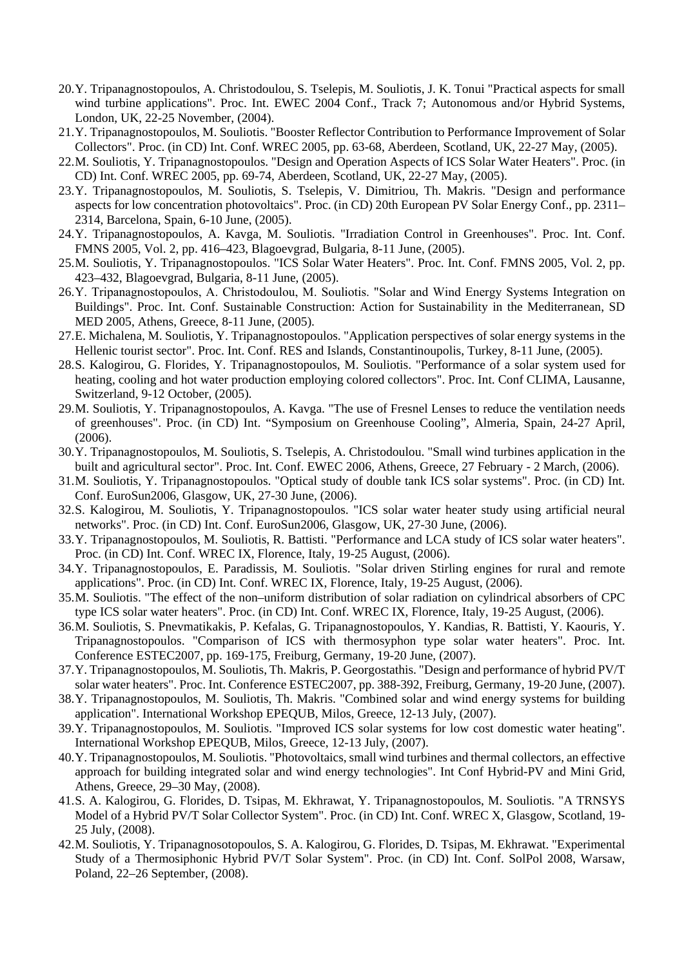- 20.Y. Tripanagnostopoulos, A. Christodoulou, S. Tselepis, M. Souliotis, J. K. Tonui "Practical aspects for small wind turbine applications". Proc. Int. EWEC 2004 Conf., Track 7; Autonomous and/or Hybrid Systems, London, UK, 22-25 November, (2004).
- 21.Y. Tripanagnostopoulos, M. Souliotis. "Booster Reflector Contribution to Performance Improvement of Solar Collectors". Proc. (in CD) Int. Conf. WREC 2005, pp. 63-68, Aberdeen, Scotland, UK, 22-27 May, (2005).
- 22.M. Souliotis, Y. Tripanagnostopoulos. "Design and Operation Aspects of ICS Solar Water Heaters". Proc. (in CD) Int. Conf. WREC 2005, pp. 69-74, Aberdeen, Scotland, UK, 22-27 May, (2005).
- 23.Y. Tripanagnostopoulos, M. Souliotis, S. Tselepis, V. Dimitriou, Th. Makris. "Design and performance aspects for low concentration photovoltaics". Proc. (in CD) 20th European PV Solar Energy Conf., pp. 2311– 2314, Barcelona, Spain, 6-10 June, (2005).
- 24.Y. Tripanagnostopoulos, A. Kavga, M. Souliotis. "Irradiation Control in Greenhouses". Proc. Int. Conf. FMNS 2005, Vol. 2, pp. 416–423, Blagoevgrad, Bulgaria, 8-11 June, (2005).
- 25.M. Souliotis, Y. Tripanagnostopoulos. "ICS Solar Water Heaters". Proc. Int. Conf. FMNS 2005, Vol. 2, pp. 423–432, Blagoevgrad, Bulgaria, 8-11 June, (2005).
- 26.Y. Tripanagnostopoulos, Α. Christodoulou, M. Souliotis. "Solar and Wind Energy Systems Integration on Buildings". Proc. Int. Conf. Sustainable Construction: Action for Sustainability in the Mediterranean, SD MED 2005, Athens, Greece, 8-11 June, (2005).
- 27.E. Michalena, M. Souliotis, Y. Tripanagnostopoulos. "Application perspectives of solar energy systems in the Hellenic tourist sector". Proc. Int. Conf. RES and Islands, Constantinoupolis, Turkey, 8-11 June, (2005).
- 28.S. Kalogirou, G. Florides, Y. Tripanagnostopoulos, M. Souliotis. "Performance of a solar system used for heating, cooling and hot water production employing colored collectors". Proc. Int. Conf CLIMA, Lausanne, Switzerland, 9-12 October, (2005).
- 29.M. Souliotis, Y. Tripanagnostopoulos, A. Kavga. "The use of Fresnel Lenses to reduce the ventilation needs of greenhouses". Proc. (in CD) Int. "Symposium on Greenhouse Cooling", Almeria, Spain, 24-27 April, (2006).
- 30.Y. Tripanagnostopoulos, M. Souliotis, S. Tselepis, A. Christodoulou. "Small wind turbines application in the built and agricultural sector". Proc. Int. Conf. EWEC 2006, Athens, Greece, 27 February - 2 March, (2006).
- 31.M. Souliotis, Y. Tripanagnostopoulos. "Optical study of double tank ICS solar systems". Proc. (in CD) Int. Conf. EuroSun2006, Glasgow, UK, 27-30 June, (2006).
- 32.S. Kalogirou, M. Souliotis, Y. Tripanagnostopoulos. "ICS solar water heater study using artificial neural networks". Proc. (in CD) Int. Conf. EuroSun2006, Glasgow, UK, 27-30 June, (2006).
- 33.Y. Tripanagnostopoulos, M. Souliotis, R. Battisti. "Performance and LCA study of ICS solar water heaters". Proc. (in CD) Int. Conf. WREC IX, Florence, Italy, 19-25 August, (2006).
- 34.Y. Tripanagnostopoulos, E. Paradissis, M. Souliotis. "Solar driven Stirling engines for rural and remote applications". Proc. (in CD) Int. Conf. WREC IX, Florence, Italy, 19-25 August, (2006).
- 35.M. Souliotis. "The effect of the non–uniform distribution of solar radiation on cylindrical absorbers of CPC type ICS solar water heaters". Proc. (in CD) Int. Conf. WREC IX, Florence, Italy, 19-25 August, (2006).
- 36.M. Souliotis, S. Pnevmatikakis, P. Kefalas, G. Tripanagnostopoulos, Y. Kandias, R. Battisti, Y. Kaouris, Y. Tripanagnostopoulos. "Comparison of ICS with thermosyphon type solar water heaters". Proc. Int. Conference ESTEC2007, pp. 169-175, Freiburg, Germany, 19-20 June, (2007).
- 37.Y. Tripanagnostopoulos, M. Souliotis, Th. Makris, P. Georgostathis. "Design and performance of hybrid PV/T solar water heaters". Proc. Int. Conference ESTEC2007, pp. 388-392, Freiburg, Germany, 19-20 June, (2007).
- 38.Y. Tripanagnostopoulos, M. Souliotis, Th. Makris. "Combined solar and wind energy systems for building application". International Workshop EPEQUB, Milos, Greece, 12-13 July, (2007).
- 39.Y. Tripanagnostopoulos, M. Souliotis. "Improved ICS solar systems for low cost domestic water heating". International Workshop EPEQUB, Milos, Greece, 12-13 July, (2007).
- 40.Y. Tripanagnostopoulos, M. Souliotis. "Photovoltaics, small wind turbines and thermal collectors, an effective approach for building integrated solar and wind energy technologies". Int Conf Hybrid-PV and Mini Grid, Athens, Greece, 29–30 May, (2008).
- 41.S. A. Kalogirou, G. Florides, D. Tsipas, M. Ekhrawat, Y. Tripanagnostopoulos, M. Souliotis. "A TRNSYS Model of a Hybrid PV/T Solar Collector System". Proc. (in CD) Int. Conf. WREC X, Glasgow, Scotland, 19- 25 July, (2008).
- 42.M. Souliotis, Y. Tripanagnosotopoulos, S. A. Kalogirou, G. Florides, D. Tsipas, M. Ekhrawat. "Experimental Study of a Thermosiphonic Hybrid PV/T Solar System". Proc. (in CD) Int. Conf. SolPol 2008, Warsaw, Poland, 22–26 September, (2008).